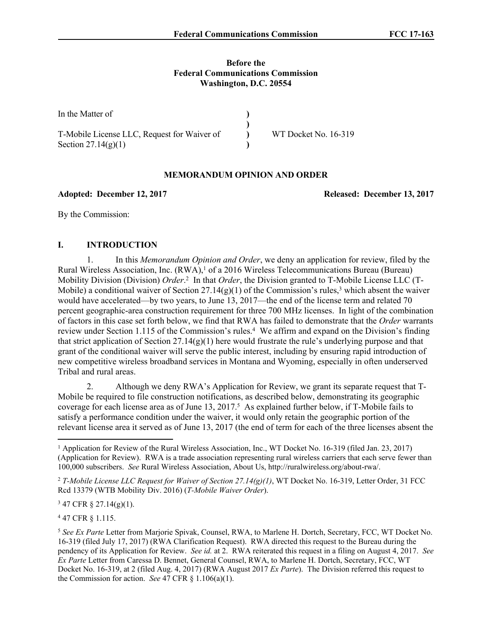### **Before the Federal Communications Commission Washington, D.C. 20554**

| In the Matter of                            |                      |
|---------------------------------------------|----------------------|
|                                             |                      |
| T-Mobile License LLC, Request for Waiver of | WT Docket No. 16-319 |
| Section $27.14(g)(1)$                       |                      |

## **MEMORANDUM OPINION AND ORDER**

### **Adopted: December 12, 2017 Released: December 13, 2017**

By the Commission:

# **I. INTRODUCTION**

1. In this *Memorandum Opinion and Order*, we deny an application for review, filed by the Rural Wireless Association, Inc. (RWA),<sup>1</sup> of a 2016 Wireless Telecommunications Bureau (Bureau) Mobility Division (Division) *Order*. 2 In that *Order*, the Division granted to T-Mobile License LLC (T-Mobile) a conditional waiver of Section  $27.14(g)(1)$  of the Commission's rules,<sup>3</sup> which absent the waiver would have accelerated—by two years, to June 13, 2017—the end of the license term and related 70 percent geographic-area construction requirement for three 700 MHz licenses. In light of the combination of factors in this case set forth below, we find that RWA has failed to demonstrate that the *Order* warrants review under Section 1.115 of the Commission's rules.<sup>4</sup> We affirm and expand on the Division's finding that strict application of Section  $27.14(g)(1)$  here would frustrate the rule's underlying purpose and that grant of the conditional waiver will serve the public interest, including by ensuring rapid introduction of new competitive wireless broadband services in Montana and Wyoming, especially in often underserved Tribal and rural areas.

2. Although we deny RWA's Application for Review, we grant its separate request that T-Mobile be required to file construction notifications, as described below, demonstrating its geographic coverage for each license area as of June 13, 2017.<sup>5</sup> As explained further below, if T-Mobile fails to satisfy a performance condition under the waiver, it would only retain the geographic portion of the relevant license area it served as of June 13, 2017 (the end of term for each of the three licenses absent the

3 47 CFR § 27.14(g)(1).

4 47 CFR § 1.115.

<sup>&</sup>lt;sup>1</sup> Application for Review of the Rural Wireless Association, Inc., WT Docket No. 16-319 (filed Jan. 23, 2017) (Application for Review). RWA is a trade association representing rural wireless carriers that each serve fewer than 100,000 subscribers. *See* Rural Wireless Association, About Us, http://ruralwireless.org/about-rwa/.

<sup>2</sup> *T-Mobile License LLC Request for Waiver of Section 27.14(g)(1)*, WT Docket No. 16-319, Letter Order, 31 FCC Rcd 13379 (WTB Mobility Div. 2016) (*T-Mobile Waiver Order*).

<sup>5</sup>  *See Ex Parte* Letter from Marjorie Spivak, Counsel, RWA, to Marlene H. Dortch, Secretary, FCC, WT Docket No. 16-319 (filed July 17, 2017) (RWA Clarification Request). RWA directed this request to the Bureau during the pendency of its Application for Review. *See id.* at 2. RWA reiterated this request in a filing on August 4, 2017. *See Ex Parte* Letter from Caressa D. Bennet, General Counsel, RWA, to Marlene H. Dortch, Secretary, FCC, WT Docket No. 16-319, at 2 (filed Aug. 4, 2017) (RWA August 2017 *Ex Parte*). The Division referred this request to the Commission for action. *See* 47 CFR § 1.106(a)(1).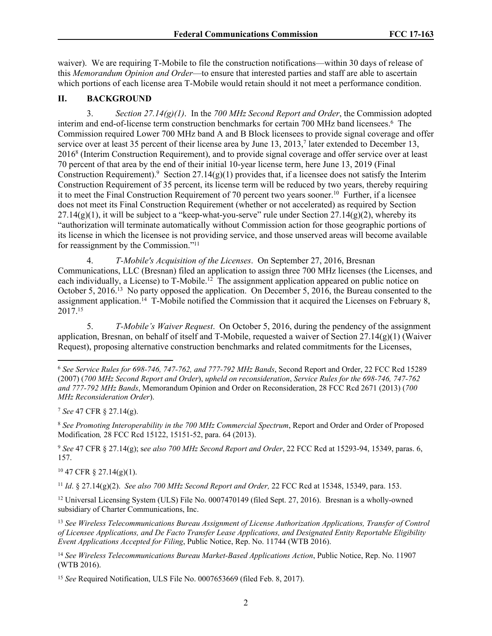waiver). We are requiring T-Mobile to file the construction notifications—within 30 days of release of this *Memorandum Opinion and Order*—to ensure that interested parties and staff are able to ascertain which portions of each license area T-Mobile would retain should it not meet a performance condition.

## **II. BACKGROUND**

3. *Section 27.14(g)(1)*. In the *700 MHz Second Report and Order*, the Commission adopted interim and end-of-license term construction benchmarks for certain 700 MHz band licensees.<sup>6</sup> The Commission required Lower 700 MHz band A and B Block licensees to provide signal coverage and offer service over at least 35 percent of their license area by June 13, 2013,<sup>7</sup> later extended to December 13, 2016<sup>8</sup> (Interim Construction Requirement), and to provide signal coverage and offer service over at least 70 percent of that area by the end of their initial 10-year license term, here June 13, 2019 (Final Construction Requirement).<sup>9</sup> Section 27.14 $(g)(1)$  provides that, if a licensee does not satisfy the Interim Construction Requirement of 35 percent, its license term will be reduced by two years, thereby requiring it to meet the Final Construction Requirement of 70 percent two years sooner.<sup>10</sup> Further, if a licensee does not meet its Final Construction Requirement (whether or not accelerated) as required by Section  $27.14(g)(1)$ , it will be subject to a "keep-what-you-serve" rule under Section  $27.14(g)(2)$ , whereby its "authorization will terminate automatically without Commission action for those geographic portions of its license in which the licensee is not providing service, and those unserved areas will become available for reassignment by the Commission."<sup>11</sup>

4. *T-Mobile's Acquisition of the Licenses*. On September 27, 2016, Bresnan Communications, LLC (Bresnan) filed an application to assign three 700 MHz licenses (the Licenses, and each individually, a License) to T-Mobile.<sup>12</sup> The assignment application appeared on public notice on October 5, 2016.<sup>13</sup> No party opposed the application. On December 5, 2016, the Bureau consented to the assignment application.<sup>14</sup> T-Mobile notified the Commission that it acquired the Licenses on February 8, 2017.<sup>15</sup>

5. *T-Mobile's Waiver Request*. On October 5, 2016, during the pendency of the assignment application, Bresnan, on behalf of itself and T-Mobile, requested a waiver of Section 27.14(g)(1) (Waiver Request), proposing alternative construction benchmarks and related commitments for the Licenses,

<sup>9</sup> *See* 47 CFR § 27.14(g); s*ee also 700 MHz Second Report and Order*, 22 FCC Rcd at 15293-94, 15349, paras. 6, 157.

 $10\,47$  CFR  $\S$  27.14(g)(1).

<sup>11</sup> *Id*. § 27.14(g)(2). *See also 700 MHz Second Report and Order,* 22 FCC Rcd at 15348, 15349, para. 153.

<sup>12</sup> Universal Licensing System (ULS) File No. 0007470149 (filed Sept. 27, 2016). Bresnan is a wholly-owned subsidiary of Charter Communications, Inc.

<sup>13</sup> *See Wireless Telecommunications Bureau Assignment of License Authorization Applications, Transfer of Control of Licensee Applications, and De Facto Transfer Lease Applications, and Designated Entity Reportable Eligibility Event Applications Accepted for Filing*, Public Notice, Rep. No. 11744 (WTB 2016).

<sup>14</sup> *See Wireless Telecommunications Bureau Market-Based Applications Action*, Public Notice, Rep. No. 11907 (WTB 2016).

<sup>15</sup> *See* Required Notification, ULS File No. 0007653669 (filed Feb. 8, 2017).

<sup>6</sup> *See Service Rules for 698-746, 747-762, and 777-792 MHz Bands*, Second Report and Order, 22 FCC Rcd 15289 (2007) (*700 MHz Second Report and Order*), *upheld on reconsideration*, *Service Rules for the 698-746, 747-762 and 777-792 MHz Bands*, Memorandum Opinion and Order on Reconsideration, 28 FCC Rcd 2671 (2013) (*700 MHz Reconsideration Order*).

<sup>7</sup> *See* 47 CFR § 27.14(g).

<sup>8</sup> *See Promoting Interoperability in the 700 MHz Commercial Spectrum*, Report and Order and Order of Proposed Modification*,* 28 FCC Rcd 15122, 15151-52, para. 64 (2013).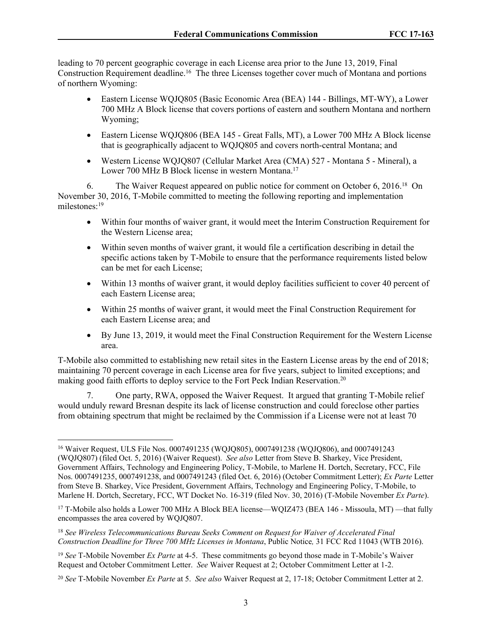leading to 70 percent geographic coverage in each License area prior to the June 13, 2019, Final Construction Requirement deadline.<sup>16</sup> The three Licenses together cover much of Montana and portions of northern Wyoming:

- Eastern License WQJQ805 (Basic Economic Area (BEA) 144 Billings, MT-WY), a Lower 700 MHz A Block license that covers portions of eastern and southern Montana and northern Wyoming;
- Eastern License WQJQ806 (BEA 145 Great Falls, MT), a Lower 700 MHz A Block license that is geographically adjacent to WQJQ805 and covers north-central Montana; and
- Western License WQJQ807 (Cellular Market Area (CMA) 527 Montana 5 Mineral), a Lower 700 MHz B Block license in western Montana.<sup>17</sup>

6. The Waiver Request appeared on public notice for comment on October 6, 2016.<sup>18</sup> On November 30, 2016, T-Mobile committed to meeting the following reporting and implementation milestones:<sup>19</sup>

- Within four months of waiver grant, it would meet the Interim Construction Requirement for the Western License area;
- Within seven months of waiver grant, it would file a certification describing in detail the specific actions taken by T-Mobile to ensure that the performance requirements listed below can be met for each License;
- Within 13 months of waiver grant, it would deploy facilities sufficient to cover 40 percent of each Eastern License area;
- Within 25 months of waiver grant, it would meet the Final Construction Requirement for each Eastern License area; and
- By June 13, 2019, it would meet the Final Construction Requirement for the Western License area.

T-Mobile also committed to establishing new retail sites in the Eastern License areas by the end of 2018; maintaining 70 percent coverage in each License area for five years, subject to limited exceptions; and making good faith efforts to deploy service to the Fort Peck Indian Reservation.<sup>20</sup>

7. One party, RWA, opposed the Waiver Request. It argued that granting T-Mobile relief would unduly reward Bresnan despite its lack of license construction and could foreclose other parties from obtaining spectrum that might be reclaimed by the Commission if a License were not at least 70

<sup>16</sup> Waiver Request, ULS File Nos. 0007491235 (WQJQ805), 0007491238 (WQJQ806), and 0007491243 (WQJQ807) (filed Oct. 5, 2016) (Waiver Request). *See also* Letter from Steve B. Sharkey, Vice President, Government Affairs, Technology and Engineering Policy, T-Mobile, to Marlene H. Dortch, Secretary, FCC, File Nos. 0007491235, 0007491238, and 0007491243 (filed Oct. 6, 2016) (October Commitment Letter); *Ex Parte* Letter from Steve B. Sharkey, Vice President, Government Affairs, Technology and Engineering Policy, T-Mobile, to Marlene H. Dortch, Secretary, FCC, WT Docket No. 16-319 (filed Nov. 30, 2016) (T-Mobile November *Ex Parte*).

<sup>17</sup> T-Mobile also holds a Lower 700 MHz A Block BEA license—WQIZ473 (BEA 146 - Missoula, MT) —that fully encompasses the area covered by WQJQ807.

<sup>18</sup> *See Wireless Telecommunications Bureau Seeks Comment on Request for Waiver of Accelerated Final Construction Deadline for Three 700 MHz Licenses in Montana*, Public Notice*,* 31 FCC Rcd 11043 (WTB 2016).

<sup>19</sup> *See* T-Mobile November *Ex Parte* at 4-5. These commitments go beyond those made in T-Mobile's Waiver Request and October Commitment Letter. *See* Waiver Request at 2; October Commitment Letter at 1-2.

<sup>20</sup> *See* T-Mobile November *Ex Parte* at 5. *See also* Waiver Request at 2, 17-18; October Commitment Letter at 2.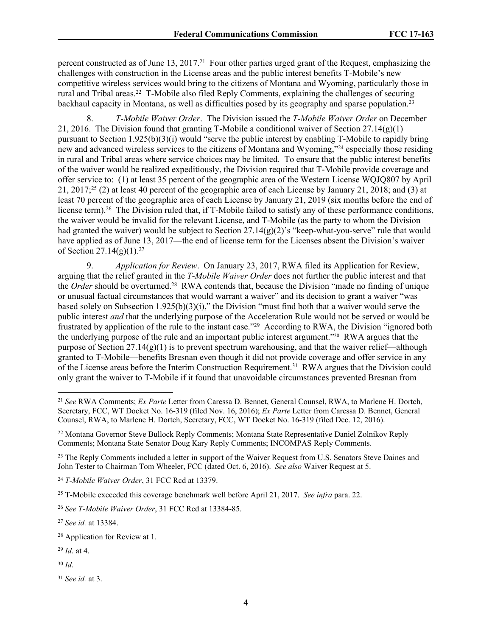percent constructed as of June 13, 2017.<sup>21</sup> Four other parties urged grant of the Request, emphasizing the challenges with construction in the License areas and the public interest benefits T-Mobile's new competitive wireless services would bring to the citizens of Montana and Wyoming, particularly those in rural and Tribal areas.<sup>22</sup> T-Mobile also filed Reply Comments, explaining the challenges of securing backhaul capacity in Montana, as well as difficulties posed by its geography and sparse population.<sup>23</sup>

8. *T-Mobile Waiver Order*. The Division issued the *T-Mobile Waiver Order* on December 21, 2016. The Division found that granting T-Mobile a conditional waiver of Section  $27.14(g)(1)$ pursuant to Section 1.925(b)(3)(i) would "serve the public interest by enabling T-Mobile to rapidly bring new and advanced wireless services to the citizens of Montana and Wyoming,"<sup>24</sup> especially those residing in rural and Tribal areas where service choices may be limited. To ensure that the public interest benefits of the waiver would be realized expeditiously, the Division required that T-Mobile provide coverage and offer service to: (1) at least 35 percent of the geographic area of the Western License WQJQ807 by April 21, 2017;<sup>25</sup> (2) at least 40 percent of the geographic area of each License by January 21, 2018; and (3) at least 70 percent of the geographic area of each License by January 21, 2019 (six months before the end of license term).<sup>26</sup> The Division ruled that, if T-Mobile failed to satisfy any of these performance conditions, the waiver would be invalid for the relevant License, and T-Mobile (as the party to whom the Division had granted the waiver) would be subject to Section 27.14(g)(2)'s "keep-what-you-serve" rule that would have applied as of June 13, 2017—the end of license term for the Licenses absent the Division's waiver of Section 27.14(g)(1).<sup>27</sup>

9. *Application for Review*. On January 23, 2017, RWA filed its Application for Review, arguing that the relief granted in the *T-Mobile Waiver Order* does not further the public interest and that the *Order* should be overturned.<sup>28</sup> RWA contends that, because the Division "made no finding of unique or unusual factual circumstances that would warrant a waiver" and its decision to grant a waiver "was based solely on Subsection 1.925(b)(3)(i)," the Division "must find both that a waiver would serve the public interest *and* that the underlying purpose of the Acceleration Rule would not be served or would be frustrated by application of the rule to the instant case."<sup>29</sup> According to RWA, the Division "ignored both the underlying purpose of the rule and an important public interest argument."30 RWA argues that the purpose of Section  $27.14(g)(1)$  is to prevent spectrum warehousing, and that the waiver relief—although granted to T-Mobile—benefits Bresnan even though it did not provide coverage and offer service in any of the License areas before the Interim Construction Requirement.<sup>31</sup> RWA argues that the Division could only grant the waiver to T-Mobile if it found that unavoidable circumstances prevented Bresnan from

<sup>23</sup> The Reply Comments included a letter in support of the Waiver Request from U.S. Senators Steve Daines and John Tester to Chairman Tom Wheeler, FCC (dated Oct. 6, 2016). *See also* Waiver Request at 5.

<sup>24</sup> *T-Mobile Waiver Order*, 31 FCC Rcd at 13379.

<sup>27</sup> *See id.* at 13384.

<sup>30</sup> *Id*.

<sup>21</sup> *See* RWA Comments; *Ex Parte* Letter from Caressa D. Bennet, General Counsel, RWA, to Marlene H. Dortch, Secretary, FCC, WT Docket No. 16-319 (filed Nov. 16, 2016); *Ex Parte* Letter from Caressa D. Bennet, General Counsel, RWA, to Marlene H. Dortch, Secretary, FCC, WT Docket No. 16-319 (filed Dec. 12, 2016).

<sup>22</sup> Montana Governor Steve Bullock Reply Comments; Montana State Representative Daniel Zolnikov Reply Comments; Montana State Senator Doug Kary Reply Comments; INCOMPAS Reply Comments.

<sup>25</sup> T-Mobile exceeded this coverage benchmark well before April 21, 2017. *See infra* para. 22.

<sup>26</sup> *See T-Mobile Waiver Order*, 31 FCC Rcd at 13384-85.

<sup>28</sup> Application for Review at 1.

<sup>29</sup> *Id*. at 4.

<sup>31</sup> *See id.* at 3.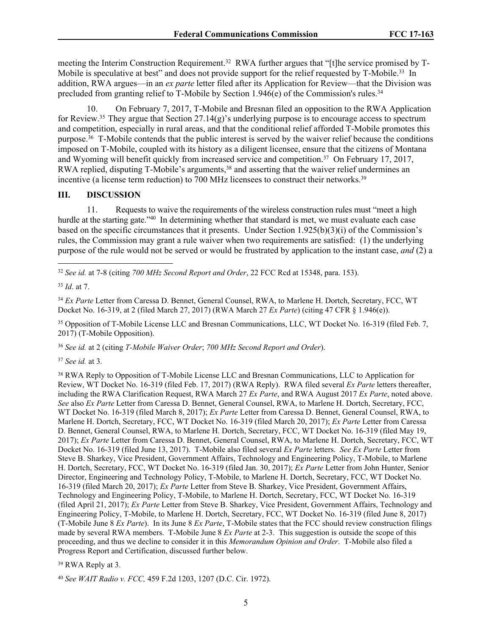meeting the Interim Construction Requirement.<sup>32</sup> RWA further argues that "[t]he service promised by T-Mobile is speculative at best" and does not provide support for the relief requested by T-Mobile.<sup>33</sup> In addition, RWA argues—in an *ex parte* letter filed after its Application for Review—that the Division was precluded from granting relief to T-Mobile by Section 1.946 $(e)$  of the Commission's rules.<sup>34</sup>

10. On February 7, 2017, T-Mobile and Bresnan filed an opposition to the RWA Application for Review.<sup>35</sup> They argue that Section 27.14(g)'s underlying purpose is to encourage access to spectrum and competition, especially in rural areas, and that the conditional relief afforded T-Mobile promotes this purpose.<sup>36</sup> T-Mobile contends that the public interest is served by the waiver relief because the conditions imposed on T-Mobile, coupled with its history as a diligent licensee, ensure that the citizens of Montana and Wyoming will benefit quickly from increased service and competition.<sup>37</sup> On February 17, 2017, RWA replied, disputing T-Mobile's arguments,<sup>38</sup> and asserting that the waiver relief undermines an incentive (a license term reduction) to 700 MHz licensees to construct their networks.<sup>39</sup>

#### **III. DISCUSSION**

11. Requests to waive the requirements of the wireless construction rules must "meet a high hurdle at the starting gate."<sup>40</sup> In determining whether that standard is met, we must evaluate each case based on the specific circumstances that it presents. Under Section 1.925(b)(3)(i) of the Commission's rules, the Commission may grant a rule waiver when two requirements are satisfied: (1) the underlying purpose of the rule would not be served or would be frustrated by application to the instant case, *and* (2) a

<sup>32</sup> *See id.* at 7-8 (citing *700 MHz Second Report and Order*, 22 FCC Rcd at 15348, para. 153).

<sup>34</sup> *Ex Parte* Letter from Caressa D. Bennet, General Counsel, RWA, to Marlene H. Dortch, Secretary, FCC, WT Docket No. 16-319, at 2 (filed March 27, 2017) (RWA March 27 *Ex Parte*) (citing 47 CFR § 1.946(e)).

<sup>35</sup> Opposition of T-Mobile License LLC and Bresnan Communications, LLC, WT Docket No. 16-319 (filed Feb. 7, 2017) (T-Mobile Opposition).

<sup>36</sup> *See id.* at 2 (citing *T-Mobile Waiver Order*; *700 MHz Second Report and Order*).

<sup>37</sup> *See id.* at 3.

<sup>38</sup> RWA Reply to Opposition of T-Mobile License LLC and Bresnan Communications, LLC to Application for Review, WT Docket No. 16-319 (filed Feb. 17, 2017) (RWA Reply). RWA filed several *Ex Parte* letters thereafter, including the RWA Clarification Request, RWA March 27 *Ex Parte*, and RWA August 2017 *Ex Parte*, noted above. *See* also *Ex Parte* Letter from Caressa D. Bennet, General Counsel, RWA, to Marlene H. Dortch, Secretary, FCC, WT Docket No. 16-319 (filed March 8, 2017); *Ex Parte* Letter from Caressa D. Bennet, General Counsel, RWA, to Marlene H. Dortch, Secretary, FCC, WT Docket No. 16-319 (filed March 20, 2017); *Ex Parte* Letter from Caressa D. Bennet, General Counsel, RWA, to Marlene H. Dortch, Secretary, FCC, WT Docket No. 16-319 (filed May 19, 2017); *Ex Parte* Letter from Caressa D. Bennet, General Counsel, RWA, to Marlene H. Dortch, Secretary, FCC, WT Docket No. 16-319 (filed June 13, 2017). T-Mobile also filed several *Ex Parte* letters. *See Ex Parte* Letter from Steve B. Sharkey, Vice President, Government Affairs, Technology and Engineering Policy, T-Mobile, to Marlene H. Dortch, Secretary, FCC, WT Docket No. 16-319 (filed Jan. 30, 2017); *Ex Parte* Letter from John Hunter, Senior Director, Engineering and Technology Policy, T-Mobile, to Marlene H. Dortch, Secretary, FCC, WT Docket No. 16-319 (filed March 20, 2017); *Ex Parte* Letter from Steve B. Sharkey, Vice President, Government Affairs, Technology and Engineering Policy, T-Mobile, to Marlene H. Dortch, Secretary, FCC, WT Docket No. 16-319 (filed April 21, 2017); *Ex Parte* Letter from Steve B. Sharkey, Vice President, Government Affairs, Technology and Engineering Policy, T-Mobile, to Marlene H. Dortch, Secretary, FCC, WT Docket No. 16-319 (filed June 8, 2017) (T-Mobile June 8 *Ex Parte*). In its June 8 *Ex Parte*, T-Mobile states that the FCC should review construction filings made by several RWA members. T-Mobile June 8 *Ex Parte* at 2-3. This suggestion is outside the scope of this proceeding, and thus we decline to consider it in this *Memorandum Opinion and Order*. T-Mobile also filed a Progress Report and Certification, discussed further below.

<sup>39</sup> RWA Reply at 3.

<sup>40</sup> *See WAIT Radio v. FCC,* 459 F.2d 1203, 1207 (D.C. Cir. 1972).

<sup>33</sup> *Id*. at 7.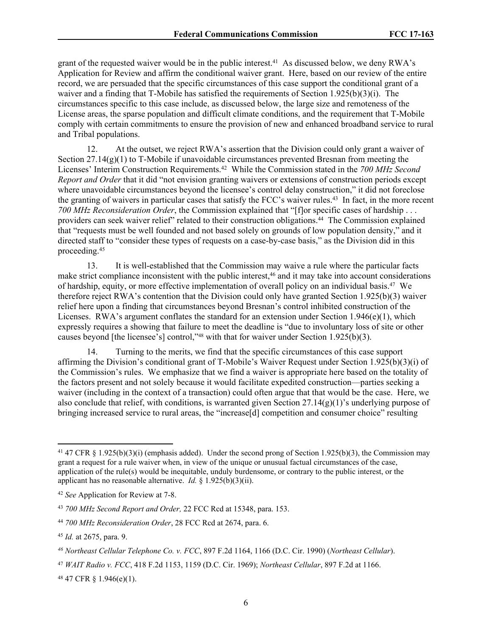grant of the requested waiver would be in the public interest.<sup>41</sup> As discussed below, we deny RWA's Application for Review and affirm the conditional waiver grant. Here, based on our review of the entire record, we are persuaded that the specific circumstances of this case support the conditional grant of a waiver and a finding that T-Mobile has satisfied the requirements of Section 1.925(b)(3)(i). The circumstances specific to this case include, as discussed below, the large size and remoteness of the License areas, the sparse population and difficult climate conditions, and the requirement that T-Mobile comply with certain commitments to ensure the provision of new and enhanced broadband service to rural and Tribal populations.

12. At the outset, we reject RWA's assertion that the Division could only grant a waiver of Section  $27.14(g)(1)$  to T-Mobile if unavoidable circumstances prevented Bresnan from meeting the Licenses' Interim Construction Requirements.<sup>42</sup> While the Commission stated in the *700 MHz Second Report and Order* that it did "not envision granting waivers or extensions of construction periods except where unavoidable circumstances beyond the licensee's control delay construction," it did not foreclose the granting of waivers in particular cases that satisfy the FCC's waiver rules.<sup>43</sup> In fact, in the more recent *700 MHz Reconsideration Order*, the Commission explained that "[f]or specific cases of hardship . . . providers can seek waiver relief" related to their construction obligations.<sup>44</sup> The Commission explained that "requests must be well founded and not based solely on grounds of low population density," and it directed staff to "consider these types of requests on a case-by-case basis," as the Division did in this proceeding.<sup>45</sup>

13. It is well-established that the Commission may waive a rule where the particular facts make strict compliance inconsistent with the public interest,<sup>46</sup> and it may take into account considerations of hardship, equity, or more effective implementation of overall policy on an individual basis.<sup>47</sup> We therefore reject RWA's contention that the Division could only have granted Section 1.925(b)(3) waiver relief here upon a finding that circumstances beyond Bresnan's control inhibited construction of the Licenses. RWA's argument conflates the standard for an extension under Section 1.946(e)(1), which expressly requires a showing that failure to meet the deadline is "due to involuntary loss of site or other causes beyond [the licensee's] control,"48 with that for waiver under Section 1.925(b)(3).

14. Turning to the merits, we find that the specific circumstances of this case support affirming the Division's conditional grant of T-Mobile's Waiver Request under Section 1.925(b)(3)(i) of the Commission's rules. We emphasize that we find a waiver is appropriate here based on the totality of the factors present and not solely because it would facilitate expedited construction—parties seeking a waiver (including in the context of a transaction) could often argue that that would be the case. Here, we also conclude that relief, with conditions, is warranted given Section 27.14(g)(1)'s underlying purpose of bringing increased service to rural areas, the "increase[d] competition and consumer choice" resulting

48 47 CFR § 1.946(e)(1).

<sup>41</sup> 47 CFR § 1.925(b)(3)(i) (emphasis added). Under the second prong of Section 1.925(b)(3), the Commission may grant a request for a rule waiver when, in view of the unique or unusual factual circumstances of the case, application of the rule(s) would be inequitable, unduly burdensome, or contrary to the public interest, or the applicant has no reasonable alternative. *Id.* § 1.925(b)(3)(ii).

<sup>42</sup> *See* Application for Review at 7-8.

<sup>43</sup> *700 MHz Second Report and Order,* 22 FCC Rcd at 15348, para. 153.

<sup>44</sup> *700 MHz Reconsideration Order*, 28 FCC Rcd at 2674, para. 6.

<sup>45</sup> *Id.* at 2675, para. 9.

*<sup>46</sup> Northeast Cellular Telephone Co. v. FCC*, 897 F.2d 1164, 1166 (D.C. Cir. 1990) (*Northeast Cellular*).

<sup>47</sup> *WAIT Radio v. FCC*, 418 F.2d 1153, 1159 (D.C. Cir. 1969); *Northeast Cellular*, 897 F.2d at 1166.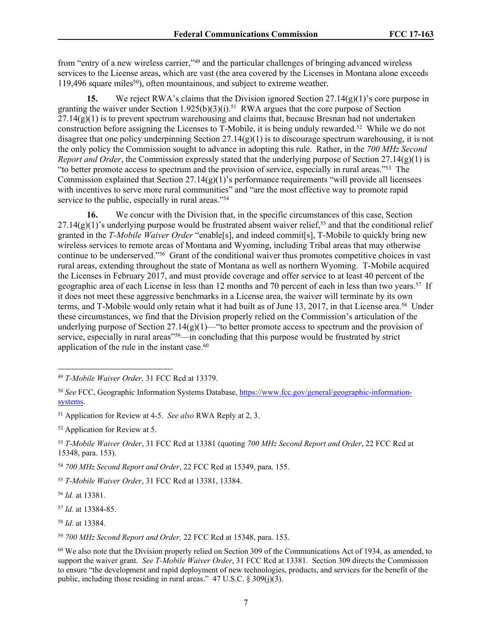from "entry of a new wireless carrier,"<sup>49</sup> and the particular challenges of bringing advanced wireless services to the License areas, which are vast (the area covered by the Licenses in Montana alone exceeds 119,496 square miles<sup>50</sup>), often mountainous, and subject to extreme weather.

**15.** We reject RWA's claims that the Division ignored Section  $27.14(g)(1)$ 's core purpose in granting the waiver under Section 1.925(b)(3)(i).<sup>51</sup> RWA argues that the core purpose of Section  $27.14(g)(1)$  is to prevent spectrum warehousing and claims that, because Bresnan had not undertaken construction before assigning the Licenses to T-Mobile, it is being unduly rewarded.<sup>52</sup> While we do not disagree that one policy underpinning Section 27.14(g)(1) is to discourage spectrum warehousing, it is not the only policy the Commission sought to advance in adopting this rule. Rather, in the *700 MHz Second Report and Order*, the Commission expressly stated that the underlying purpose of Section 27.14(g)(1) is "to better promote access to spectrum and the provision of service, especially in rural areas."<sup>53</sup> The Commission explained that Section  $27.14(g)(1)$ 's performance requirements "will provide all licensees" with incentives to serve more rural communities" and "are the most effective way to promote rapid service to the public, especially in rural areas."<sup>54</sup>

**16.** We concur with the Division that, in the specific circumstances of this case, Section  $27.14(g)(1)$ 's underlying purpose would be frustrated absent waiver relief,<sup>55</sup> and that the conditional relief granted in the *T-Mobile Waiver Order* "enable[s], and indeed commit[s], T-Mobile to quickly bring new wireless services to remote areas of Montana and Wyoming, including Tribal areas that may otherwise continue to be underserved."<sup>56</sup> Grant of the conditional waiver thus promotes competitive choices in vast rural areas, extending throughout the state of Montana as well as northern Wyoming. T-Mobile acquired the Licenses in February 2017, and must provide coverage and offer service to at least 40 percent of the geographic area of each License in less than 12 months and 70 percent of each in less than two years.<sup>57</sup> If it does not meet these aggressive benchmarks in a License area, the waiver will terminate by its own terms, and T-Mobile would only retain what it had built as of June 13, 2017, in that License area.<sup>58</sup> Under these circumstances, we find that the Division properly relied on the Commission's articulation of the underlying purpose of Section  $27.14(g)(1)$ —"to better promote access to spectrum and the provision of service, especially in rural areas"<sup>59</sup>—in concluding that this purpose would be frustrated by strict application of the rule in the instant case.<sup>60</sup>

<sup>56</sup> *Id.* at 13381.

<sup>49</sup> *T-Mobile Waiver Order,* 31 FCC Rcd at 13379.

<sup>50</sup> *See* FCC, Geographic Information Systems Database, [https://www.fcc.gov/general/geographic-information](https://www.fcc.gov/general/geographic-information-systems)[systems.](https://www.fcc.gov/general/geographic-information-systems)

<sup>51</sup> Application for Review at 4-5. *See also* RWA Reply at 2, 3.

<sup>52</sup> Application for Review at 5.

<sup>53</sup> *T-Mobile Waiver Order*, 31 FCC Rcd at 13381 (quoting *700 MHz Second Report and Order*, 22 FCC Rcd at 15348, para. 153).

<sup>54</sup> *700 MHz Second Report and Order*, 22 FCC Rcd at 15349, para. 155.

<sup>55</sup> *T-Mobile Waiver Order*, 31 FCC Rcd at 13381, 13384.

<sup>57</sup> *Id.* at 13384-85.

<sup>58</sup> *Id*. at 13384.

<sup>59</sup> *700 MHz Second Report and Order,* 22 FCC Rcd at 15348, para. 153.

<sup>60</sup> We also note that the Division properly relied on Section 309 of the Communications Act of 1934, as amended, to support the waiver grant. *See T-Mobile Waiver Order*, 31 FCC Rcd at 13381. Section 309 directs the Commission to ensure "the development and rapid deployment of new technologies, products, and services for the benefit of the public, including those residing in rural areas."  $47 \text{ U.S.C.} \$   $309(j)(3)$ .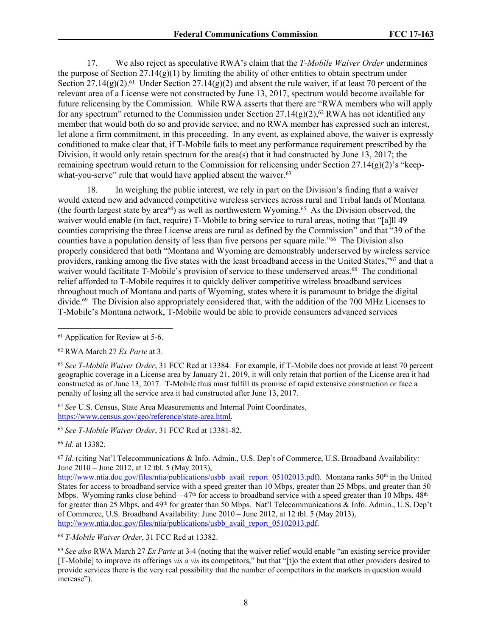17. We also reject as speculative RWA's claim that the *T-Mobile Waiver Order* undermines the purpose of Section  $27.14(g)(1)$  by limiting the ability of other entities to obtain spectrum under Section 27.14(g)(2).<sup>61</sup> Under Section 27.14(g)(2) and absent the rule waiver, if at least 70 percent of the relevant area of a License were not constructed by June 13, 2017, spectrum would become available for future relicensing by the Commission. While RWA asserts that there are "RWA members who will apply for any spectrum" returned to the Commission under Section 27.14(g)(2),<sup>62</sup> RWA has not identified any member that would both do so and provide service, and no RWA member has expressed such an interest, let alone a firm commitment, in this proceeding. In any event, as explained above, the waiver is expressly conditioned to make clear that, if T-Mobile fails to meet any performance requirement prescribed by the Division, it would only retain spectrum for the area(s) that it had constructed by June 13, 2017; the remaining spectrum would return to the Commission for relicensing under Section 27.14(g)(2)'s "keepwhat-you-serve" rule that would have applied absent the waiver.<sup>63</sup>

18. In weighing the public interest, we rely in part on the Division's finding that a waiver would extend new and advanced competitive wireless services across rural and Tribal lands of Montana (the fourth largest state by area<sup>64</sup>) as well as northwestern Wyoming.<sup>65</sup> As the Division observed, the waiver would enable (in fact, require) T-Mobile to bring service to rural areas, noting that "[a]ll 49 counties comprising the three License areas are rural as defined by the Commission" and that "39 of the counties have a population density of less than five persons per square mile."<sup>66</sup> The Division also properly considered that both "Montana and Wyoming are demonstrably underserved by wireless service providers, ranking among the five states with the least broadband access in the United States,"<sup>67</sup> and that a waiver would facilitate T-Mobile's provision of service to these underserved areas.<sup>68</sup> The conditional relief afforded to T-Mobile requires it to quickly deliver competitive wireless broadband services throughout much of Montana and parts of Wyoming, states where it is paramount to bridge the digital divide.<sup>69</sup> The Division also appropriately considered that, with the addition of the 700 MHz Licenses to T-Mobile's Montana network, T-Mobile would be able to provide consumers advanced services

<sup>66</sup> *Id.* at 13382.

<sup>68</sup> *T-Mobile Waiver Order*, 31 FCC Rcd at 13382.

<sup>61</sup> Application for Review at 5-6.

<sup>62</sup> RWA March 27 *Ex Parte* at 3.

<sup>63</sup> *See T-Mobile Waiver Order*, 31 FCC Rcd at 13384. For example, if T-Mobile does not provide at least 70 percent geographic coverage in a License area by January 21, 2019, it will only retain that portion of the License area it had constructed as of June 13, 2017. T-Mobile thus must fulfill its promise of rapid extensive construction or face a penalty of losing all the service area it had constructed after June 13, 2017.

<sup>64</sup> *See* U.S. Census, State Area Measurements and Internal Point Coordinates, <https://www.census.gov/geo/reference/state-area.html>.

<sup>65</sup> *See T-Mobile Waiver Order*, 31 FCC Rcd at 13381-82.

<sup>67</sup> *Id*. (citing Nat'l Telecommunications & Info. Admin., U.S. Dep't of Commerce, U.S. Broadband Availability: June 2010 – June 2012, at 12 tbl. 5 (May 2013),

[http://www.ntia.doc.gov/files/ntia/publications/usbb\\_avail\\_report\\_05102013.pdf\)](http://www.ntia.doc.gov/files/ntia/publications/usbb_avail_report_05102013.pdf). Montana ranks 50<sup>th</sup> in the United States for access to broadband service with a speed greater than 10 Mbps, greater than 25 Mbps, and greater than 50 Mbps. Wyoming ranks close behind—47<sup>th</sup> for access to broadband service with a speed greater than 10 Mbps,  $48<sup>th</sup>$ for greater than 25 Mbps, and 49th for greater than 50 Mbps. Nat'l Telecommunications & Info. Admin., U.S. Dep't of Commerce, U.S. Broadband Availability: June 2010 – June 2012, at 12 tbl. 5 (May 2013), [http://www.ntia.doc.gov/files/ntia/publications/usbb\\_avail\\_report\\_05102013.pdf.](http://www.ntia.doc.gov/files/ntia/publications/usbb_avail_report_05102013.pdf)

<sup>69</sup> *See also* RWA March 27 *Ex Parte* at 3-4 (noting that the waiver relief would enable "an existing service provider [T-Mobile] to improve its offerings *vis a vis* its competitors," but that "[t]o the extent that other providers desired to provide services there is the very real possibility that the number of competitors in the markets in question would increase").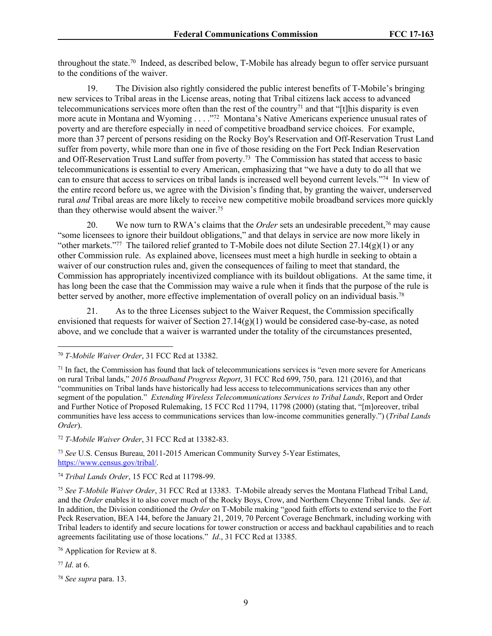throughout the state.<sup>70</sup> Indeed, as described below, T-Mobile has already begun to offer service pursuant to the conditions of the waiver.

19. The Division also rightly considered the public interest benefits of T-Mobile's bringing new services to Tribal areas in the License areas, noting that Tribal citizens lack access to advanced telecommunications services more often than the rest of the country<sup> $71$ </sup> and that "[t]his disparity is even more acute in Montana and Wyoming . . . ."<sup>72</sup> Montana's Native Americans experience unusual rates of poverty and are therefore especially in need of competitive broadband service choices. For example, more than 37 percent of persons residing on the Rocky Boy's Reservation and Off-Reservation Trust Land suffer from poverty, while more than one in five of those residing on the Fort Peck Indian Reservation and Off-Reservation Trust Land suffer from poverty.<sup>73</sup> The Commission has stated that access to basic telecommunications is essential to every American, emphasizing that "we have a duty to do all that we can to ensure that access to services on tribal lands is increased well beyond current levels."<sup>74</sup> In view of the entire record before us, we agree with the Division's finding that, by granting the waiver, underserved rural *and* Tribal areas are more likely to receive new competitive mobile broadband services more quickly than they otherwise would absent the waiver.<sup>75</sup>

20. We now turn to RWA's claims that the *Order* sets an undesirable precedent,<sup>76</sup> may cause "some licensees to ignore their buildout obligations," and that delays in service are now more likely in "other markets."<sup>77</sup> The tailored relief granted to T-Mobile does not dilute Section 27.14(g)(1) or any other Commission rule. As explained above, licensees must meet a high hurdle in seeking to obtain a waiver of our construction rules and, given the consequences of failing to meet that standard, the Commission has appropriately incentivized compliance with its buildout obligations. At the same time, it has long been the case that the Commission may waive a rule when it finds that the purpose of the rule is better served by another, more effective implementation of overall policy on an individual basis.<sup>78</sup>

21. As to the three Licenses subject to the Waiver Request, the Commission specifically envisioned that requests for waiver of Section  $27.14(g)(1)$  would be considered case-by-case, as noted above, and we conclude that a waiver is warranted under the totality of the circumstances presented,

<sup>72</sup> *T-Mobile Waiver Order*, 31 FCC Rcd at 13382-83.

<sup>73</sup> *See* U.S. Census Bureau, 2011-2015 American Community Survey 5-Year Estimates, [https://www.census.gov/tribal/.](https://www.census.gov/tribal/)

<sup>74</sup> *Tribal Lands Order*, 15 FCC Rcd at 11798-99.

<sup>75</sup> *See T-Mobile Waiver Order*, 31 FCC Rcd at 13383. T-Mobile already serves the Montana Flathead Tribal Land, and the *Order* enables it to also cover much of the Rocky Boys, Crow, and Northern Cheyenne Tribal lands. *See id*. In addition, the Division conditioned the *Order* on T-Mobile making "good faith efforts to extend service to the Fort Peck Reservation, BEA 144, before the January 21, 2019, 70 Percent Coverage Benchmark, including working with Tribal leaders to identify and secure locations for tower construction or access and backhaul capabilities and to reach agreements facilitating use of those locations." *Id*., 31 FCC Rcd at 13385.

<sup>76</sup> Application for Review at 8.

<sup>77</sup> *Id*. at 6.

<sup>78</sup> *See supra* para. 13.

<sup>70</sup> *T-Mobile Waiver Order*, 31 FCC Rcd at 13382.

 $71$  In fact, the Commission has found that lack of telecommunications services is "even more severe for Americans" on rural Tribal lands," *2016 Broadband Progress Report*, 31 FCC Rcd 699, 750, para. 121 (2016), and that "communities on Tribal lands have historically had less access to telecommunications services than any other segment of the population." *Extending Wireless Telecommunications Services to Tribal Lands*, Report and Order and Further Notice of Proposed Rulemaking, 15 FCC Rcd 11794, 11798 (2000) (stating that, "[m]oreover, tribal communities have less access to communications services than low-income communities generally.") (*Tribal Lands Order*).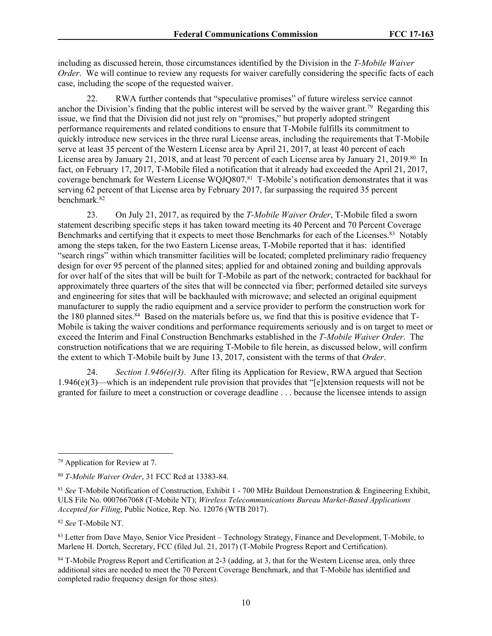including as discussed herein, those circumstances identified by the Division in the *T-Mobile Waiver Order*. We will continue to review any requests for waiver carefully considering the specific facts of each case, including the scope of the requested waiver.

22. RWA further contends that "speculative promises" of future wireless service cannot anchor the Division's finding that the public interest will be served by the waiver grant.<sup>79</sup> Regarding this issue, we find that the Division did not just rely on "promises," but properly adopted stringent performance requirements and related conditions to ensure that T-Mobile fulfills its commitment to quickly introduce new services in the three rural License areas, including the requirements that T-Mobile serve at least 35 percent of the Western License area by April 21, 2017, at least 40 percent of each License area by January 21, 2018, and at least 70 percent of each License area by January 21, 2019.<sup>80</sup> In fact, on February 17, 2017, T-Mobile filed a notification that it already had exceeded the April 21, 2017, coverage benchmark for Western License WQJQ807.<sup>81</sup> T-Mobile's notification demonstrates that it was serving 62 percent of that License area by February 2017, far surpassing the required 35 percent benchmark.<sup>82</sup>

23. On July 21, 2017, as required by the *T-Mobile Waiver Order*, T-Mobile filed a sworn statement describing specific steps it has taken toward meeting its 40 Percent and 70 Percent Coverage Benchmarks and certifying that it expects to meet those Benchmarks for each of the Licenses.<sup>83</sup> Notably among the steps taken, for the two Eastern License areas, T-Mobile reported that it has: identified "search rings" within which transmitter facilities will be located; completed preliminary radio frequency design for over 95 percent of the planned sites; applied for and obtained zoning and building approvals for over half of the sites that will be built for T-Mobile as part of the network; contracted for backhaul for approximately three quarters of the sites that will be connected via fiber; performed detailed site surveys and engineering for sites that will be backhauled with microwave; and selected an original equipment manufacturer to supply the radio equipment and a service provider to perform the construction work for the 180 planned sites.<sup>84</sup> Based on the materials before us, we find that this is positive evidence that T-Mobile is taking the waiver conditions and performance requirements seriously and is on target to meet or exceed the Interim and Final Construction Benchmarks established in the *T-Mobile Waiver Order*. The construction notifications that we are requiring T-Mobile to file herein, as discussed below, will confirm the extent to which T-Mobile built by June 13, 2017, consistent with the terms of that *Order*.

24. *Section 1.946(e)(3)*. After filing its Application for Review, RWA argued that Section 1.946(e)(3)—which is an independent rule provision that provides that "[e]xtension requests will not be granted for failure to meet a construction or coverage deadline . . . because the licensee intends to assign

<sup>79</sup> Application for Review at 7.

<sup>80</sup> *T-Mobile Waiver Order*, 31 FCC Rcd at 13383-84.

<sup>81</sup> *See* T-Mobile Notification of Construction, Exhibit 1 - 700 MHz Buildout Demonstration & Engineering Exhibit, ULS File No. 0007667068 (T-Mobile NT); *Wireless Telecommunications Bureau Market-Based Applications Accepted for Filing*, Public Notice, Rep. No. 12076 (WTB 2017).

<sup>82</sup> *See* T-Mobile NT.

<sup>83</sup> Letter from Dave Mayo, Senior Vice President – Technology Strategy, Finance and Development, T-Mobile, to Marlene H. Dortch, Secretary, FCC (filed Jul. 21, 2017) (T-Mobile Progress Report and Certification).

<sup>84</sup> T-Mobile Progress Report and Certification at 2-3 (adding, at 3, that for the Western License area, only three additional sites are needed to meet the 70 Percent Coverage Benchmark, and that T-Mobile has identified and completed radio frequency design for those sites).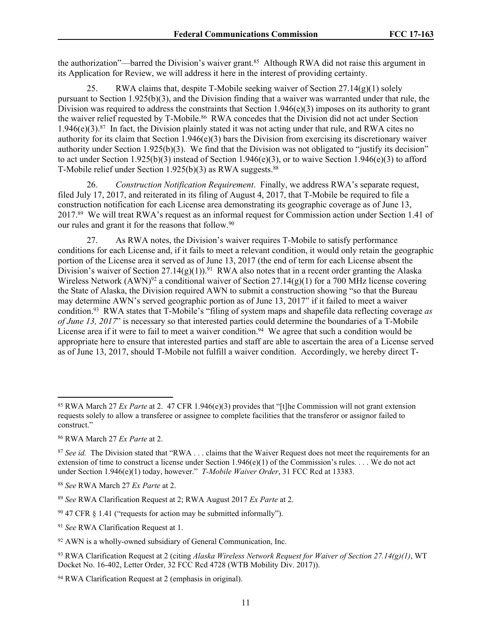the authorization"—barred the Division's waiver grant.<sup>85</sup> Although RWA did not raise this argument in its Application for Review, we will address it here in the interest of providing certainty.

25. RWA claims that, despite T-Mobile seeking waiver of Section 27.14(g)(1) solely pursuant to Section 1.925(b)(3), and the Division finding that a waiver was warranted under that rule, the Division was required to address the constraints that Section  $1.946(e)(3)$  imposes on its authority to grant the waiver relief requested by T-Mobile.<sup>86</sup> RWA concedes that the Division did not act under Section 1.946(e)(3).<sup>87</sup> In fact, the Division plainly stated it was not acting under that rule, and RWA cites no authority for its claim that Section 1.946(e)(3) bars the Division from exercising its discretionary waiver authority under Section 1.925(b)(3). We find that the Division was not obligated to "justify its decision" to act under Section 1.925(b)(3) instead of Section 1.946(e)(3), or to waive Section 1.946(e)(3) to afford T-Mobile relief under Section  $1.925(b)(3)$  as RWA suggests.<sup>88</sup>

26. *Construction Notification Requirement*. Finally, we address RWA's separate request, filed July 17, 2017, and reiterated in its filing of August 4, 2017, that T-Mobile be required to file a construction notification for each License area demonstrating its geographic coverage as of June 13, 2017.<sup>89</sup> We will treat RWA's request as an informal request for Commission action under Section 1.41 of our rules and grant it for the reasons that follow.<sup>90</sup>

27. As RWA notes, the Division's waiver requires T-Mobile to satisfy performance conditions for each License and, if it fails to meet a relevant condition, it would only retain the geographic portion of the License area it served as of June 13, 2017 (the end of term for each License absent the Division's waiver of Section 27.14(g)(1)).<sup>91</sup> RWA also notes that in a recent order granting the Alaska Wireless Network  $(AWN)^{92}$  a conditional waiver of Section 27.14(g)(1) for a 700 MHz license covering the State of Alaska, the Division required AWN to submit a construction showing "so that the Bureau may determine AWN's served geographic portion as of June 13, 2017" if it failed to meet a waiver condition.<sup>93</sup> RWA states that T-Mobile's "filing of system maps and shapefile data reflecting coverage *as of June 13, 2017*" is necessary so that interested parties could determine the boundaries of a T-Mobile License area if it were to fail to meet a waiver condition.<sup>94</sup> We agree that such a condition would be appropriate here to ensure that interested parties and staff are able to ascertain the area of a License served as of June 13, 2017, should T-Mobile not fulfill a waiver condition. Accordingly, we hereby direct T-

<sup>85</sup> RWA March 27 *Ex Parte* at 2. 47 CFR 1.946(e)(3) provides that "[t]he Commission will not grant extension requests solely to allow a transferee or assignee to complete facilities that the transferor or assignor failed to construct."

<sup>86</sup> RWA March 27 *Ex Parte* at 2.

<sup>&</sup>lt;sup>87</sup> See id. The Division stated that "RWA . . . claims that the Waiver Request does not meet the requirements for an extension of time to construct a license under Section 1.946(e)(1) of the Commission's rules.... We do not act under Section 1.946(e)(1) today, however." *T-Mobile Waiver Order*, 31 FCC Rcd at 13383.

<sup>88</sup> *See* RWA March 27 *Ex Parte* at 2.

<sup>89</sup> *See* RWA Clarification Request at 2; RWA August 2017 *Ex Parte* at 2.

 $90\,47$  CFR  $\S$  1.41 ("requests for action may be submitted informally").

<sup>91</sup> *See* RWA Clarification Request at 1.

<sup>92</sup> AWN is a wholly-owned subsidiary of General Communication, Inc.

<sup>93</sup> RWA Clarification Request at 2 (citing *Alaska Wireless Network Request for Waiver of Section 27.14(g)(1)*, WT Docket No. 16-402, Letter Order, 32 FCC Rcd 4728 (WTB Mobility Div. 2017)).

<sup>94</sup> RWA Clarification Request at 2 (emphasis in original).